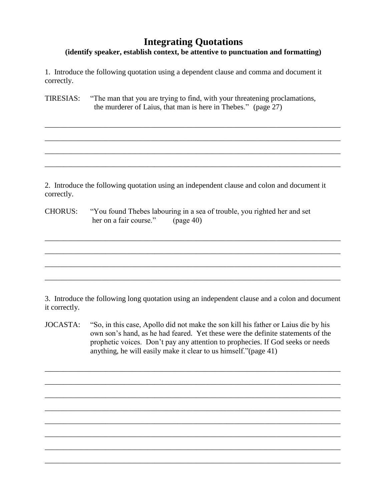### **(identify speaker, establish context, be attentive to punctuation and formatting)**

\_\_\_\_\_\_\_\_\_\_\_\_\_\_\_\_\_\_\_\_\_\_\_\_\_\_\_\_\_\_\_\_\_\_\_\_\_\_\_\_\_\_\_\_\_\_\_\_\_\_\_\_\_\_\_\_\_\_\_\_\_\_\_\_\_\_\_\_\_\_\_\_\_\_\_\_\_\_

\_\_\_\_\_\_\_\_\_\_\_\_\_\_\_\_\_\_\_\_\_\_\_\_\_\_\_\_\_\_\_\_\_\_\_\_\_\_\_\_\_\_\_\_\_\_\_\_\_\_\_\_\_\_\_\_\_\_\_\_\_\_\_\_\_\_\_\_\_\_\_\_\_\_\_\_\_\_

\_\_\_\_\_\_\_\_\_\_\_\_\_\_\_\_\_\_\_\_\_\_\_\_\_\_\_\_\_\_\_\_\_\_\_\_\_\_\_\_\_\_\_\_\_\_\_\_\_\_\_\_\_\_\_\_\_\_\_\_\_\_\_\_\_\_\_\_\_\_\_\_\_\_\_\_\_\_

\_\_\_\_\_\_\_\_\_\_\_\_\_\_\_\_\_\_\_\_\_\_\_\_\_\_\_\_\_\_\_\_\_\_\_\_\_\_\_\_\_\_\_\_\_\_\_\_\_\_\_\_\_\_\_\_\_\_\_\_\_\_\_\_\_\_\_\_\_\_\_\_\_\_\_\_\_\_

1. Introduce the following quotation using a dependent clause and comma and document it correctly.

TIRESIAS: "The man that you are trying to find, with your threatening proclamations, the murderer of Laius, that man is here in Thebes." (page 27)

2. Introduce the following quotation using an independent clause and colon and document it correctly.

| <b>CHORUS:</b> |                        | "You found Thebes labouring in a sea of trouble, you righted her and set |
|----------------|------------------------|--------------------------------------------------------------------------|
|                | her on a fair course." | (page 40)                                                                |

3. Introduce the following long quotation using an independent clause and a colon and document it correctly.

\_\_\_\_\_\_\_\_\_\_\_\_\_\_\_\_\_\_\_\_\_\_\_\_\_\_\_\_\_\_\_\_\_\_\_\_\_\_\_\_\_\_\_\_\_\_\_\_\_\_\_\_\_\_\_\_\_\_\_\_\_\_\_\_\_\_\_\_\_\_\_\_\_\_\_\_\_\_

\_\_\_\_\_\_\_\_\_\_\_\_\_\_\_\_\_\_\_\_\_\_\_\_\_\_\_\_\_\_\_\_\_\_\_\_\_\_\_\_\_\_\_\_\_\_\_\_\_\_\_\_\_\_\_\_\_\_\_\_\_\_\_\_\_\_\_\_\_\_\_\_\_\_\_\_\_\_

\_\_\_\_\_\_\_\_\_\_\_\_\_\_\_\_\_\_\_\_\_\_\_\_\_\_\_\_\_\_\_\_\_\_\_\_\_\_\_\_\_\_\_\_\_\_\_\_\_\_\_\_\_\_\_\_\_\_\_\_\_\_\_\_\_\_\_\_\_\_\_\_\_\_\_\_\_\_

\_\_\_\_\_\_\_\_\_\_\_\_\_\_\_\_\_\_\_\_\_\_\_\_\_\_\_\_\_\_\_\_\_\_\_\_\_\_\_\_\_\_\_\_\_\_\_\_\_\_\_\_\_\_\_\_\_\_\_\_\_\_\_\_\_\_\_\_\_\_\_\_\_\_\_\_\_\_

JOCASTA: "So, in this case, Apollo did not make the son kill his father or Laius die by his own son's hand, as he had feared. Yet these were the definite statements of the prophetic voices. Don't pay any attention to prophecies. If God seeks or needs anything, he will easily make it clear to us himself."(page 41)

\_\_\_\_\_\_\_\_\_\_\_\_\_\_\_\_\_\_\_\_\_\_\_\_\_\_\_\_\_\_\_\_\_\_\_\_\_\_\_\_\_\_\_\_\_\_\_\_\_\_\_\_\_\_\_\_\_\_\_\_\_\_\_\_\_\_\_\_\_\_\_\_\_\_\_\_\_\_

\_\_\_\_\_\_\_\_\_\_\_\_\_\_\_\_\_\_\_\_\_\_\_\_\_\_\_\_\_\_\_\_\_\_\_\_\_\_\_\_\_\_\_\_\_\_\_\_\_\_\_\_\_\_\_\_\_\_\_\_\_\_\_\_\_\_\_\_\_\_\_\_\_\_\_\_\_\_

\_\_\_\_\_\_\_\_\_\_\_\_\_\_\_\_\_\_\_\_\_\_\_\_\_\_\_\_\_\_\_\_\_\_\_\_\_\_\_\_\_\_\_\_\_\_\_\_\_\_\_\_\_\_\_\_\_\_\_\_\_\_\_\_\_\_\_\_\_\_\_\_\_\_\_\_\_\_

\_\_\_\_\_\_\_\_\_\_\_\_\_\_\_\_\_\_\_\_\_\_\_\_\_\_\_\_\_\_\_\_\_\_\_\_\_\_\_\_\_\_\_\_\_\_\_\_\_\_\_\_\_\_\_\_\_\_\_\_\_\_\_\_\_\_\_\_\_\_\_\_\_\_\_\_\_\_

\_\_\_\_\_\_\_\_\_\_\_\_\_\_\_\_\_\_\_\_\_\_\_\_\_\_\_\_\_\_\_\_\_\_\_\_\_\_\_\_\_\_\_\_\_\_\_\_\_\_\_\_\_\_\_\_\_\_\_\_\_\_\_\_\_\_\_\_\_\_\_\_\_\_\_\_\_\_

\_\_\_\_\_\_\_\_\_\_\_\_\_\_\_\_\_\_\_\_\_\_\_\_\_\_\_\_\_\_\_\_\_\_\_\_\_\_\_\_\_\_\_\_\_\_\_\_\_\_\_\_\_\_\_\_\_\_\_\_\_\_\_\_\_\_\_\_\_\_\_\_\_\_\_\_\_\_

\_\_\_\_\_\_\_\_\_\_\_\_\_\_\_\_\_\_\_\_\_\_\_\_\_\_\_\_\_\_\_\_\_\_\_\_\_\_\_\_\_\_\_\_\_\_\_\_\_\_\_\_\_\_\_\_\_\_\_\_\_\_\_\_\_\_\_\_\_\_\_\_\_\_\_\_\_\_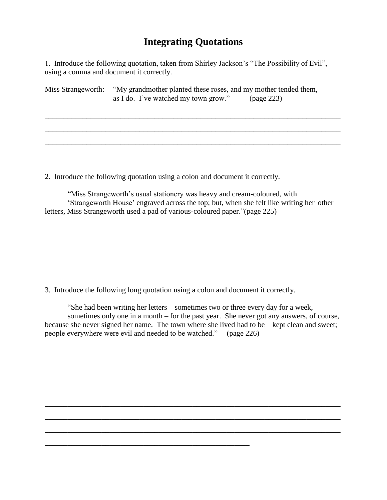1. Introduce the following quotation, taken from Shirley Jackson's "The Possibility of Evil", using a comma and document it correctly.

Miss Strangeworth: "My grandmother planted these roses, and my mother tended them, as I do. I've watched my town grow." (page 223)

\_\_\_\_\_\_\_\_\_\_\_\_\_\_\_\_\_\_\_\_\_\_\_\_\_\_\_\_\_\_\_\_\_\_\_\_\_\_\_\_\_\_\_\_\_\_\_\_\_\_\_\_\_\_\_\_\_\_\_\_\_\_\_\_\_\_\_\_\_\_\_\_\_\_\_\_\_\_

\_\_\_\_\_\_\_\_\_\_\_\_\_\_\_\_\_\_\_\_\_\_\_\_\_\_\_\_\_\_\_\_\_\_\_\_\_\_\_\_\_\_\_\_\_\_\_\_\_\_\_\_\_\_\_\_\_\_\_\_\_\_\_\_\_\_\_\_\_\_\_\_\_\_\_\_\_\_

\_\_\_\_\_\_\_\_\_\_\_\_\_\_\_\_\_\_\_\_\_\_\_\_\_\_\_\_\_\_\_\_\_\_\_\_\_\_\_\_\_\_\_\_\_\_\_\_\_\_\_\_\_\_\_\_\_\_\_\_\_\_\_\_\_\_\_\_\_\_\_\_\_\_\_\_\_\_

2. Introduce the following quotation using a colon and document it correctly.

\_\_\_\_\_\_\_\_\_\_\_\_\_\_\_\_\_\_\_\_\_\_\_\_\_\_\_\_\_\_\_\_\_\_\_\_\_\_\_\_\_\_\_\_\_\_\_\_\_\_\_\_\_\_

\_\_\_\_\_\_\_\_\_\_\_\_\_\_\_\_\_\_\_\_\_\_\_\_\_\_\_\_\_\_\_\_\_\_\_\_\_\_\_\_\_\_\_\_\_\_\_\_\_\_\_\_\_\_

\_\_\_\_\_\_\_\_\_\_\_\_\_\_\_\_\_\_\_\_\_\_\_\_\_\_\_\_\_\_\_\_\_\_\_\_\_\_\_\_\_\_\_\_\_\_\_\_\_\_\_\_\_\_

\_\_\_\_\_\_\_\_\_\_\_\_\_\_\_\_\_\_\_\_\_\_\_\_\_\_\_\_\_\_\_\_\_\_\_\_\_\_\_\_\_\_\_\_\_\_\_\_\_\_\_\_\_\_

"Miss Strangeworth's usual stationery was heavy and cream-coloured, with 'Strangeworth House' engraved across the top; but, when she felt like writing her other letters, Miss Strangeworth used a pad of various-coloured paper."(page 225)

\_\_\_\_\_\_\_\_\_\_\_\_\_\_\_\_\_\_\_\_\_\_\_\_\_\_\_\_\_\_\_\_\_\_\_\_\_\_\_\_\_\_\_\_\_\_\_\_\_\_\_\_\_\_\_\_\_\_\_\_\_\_\_\_\_\_\_\_\_\_\_\_\_\_\_\_\_\_

\_\_\_\_\_\_\_\_\_\_\_\_\_\_\_\_\_\_\_\_\_\_\_\_\_\_\_\_\_\_\_\_\_\_\_\_\_\_\_\_\_\_\_\_\_\_\_\_\_\_\_\_\_\_\_\_\_\_\_\_\_\_\_\_\_\_\_\_\_\_\_\_\_\_\_\_\_\_

\_\_\_\_\_\_\_\_\_\_\_\_\_\_\_\_\_\_\_\_\_\_\_\_\_\_\_\_\_\_\_\_\_\_\_\_\_\_\_\_\_\_\_\_\_\_\_\_\_\_\_\_\_\_\_\_\_\_\_\_\_\_\_\_\_\_\_\_\_\_\_\_\_\_\_\_\_\_

3. Introduce the following long quotation using a colon and document it correctly.

"She had been writing her letters – sometimes two or three every day for a week, sometimes only one in a month – for the past year. She never got any answers, of course, because she never signed her name. The town where she lived had to be kept clean and sweet; people everywhere were evil and needed to be watched." (page 226)

\_\_\_\_\_\_\_\_\_\_\_\_\_\_\_\_\_\_\_\_\_\_\_\_\_\_\_\_\_\_\_\_\_\_\_\_\_\_\_\_\_\_\_\_\_\_\_\_\_\_\_\_\_\_\_\_\_\_\_\_\_\_\_\_\_\_\_\_\_\_\_\_\_\_\_\_\_\_

\_\_\_\_\_\_\_\_\_\_\_\_\_\_\_\_\_\_\_\_\_\_\_\_\_\_\_\_\_\_\_\_\_\_\_\_\_\_\_\_\_\_\_\_\_\_\_\_\_\_\_\_\_\_\_\_\_\_\_\_\_\_\_\_\_\_\_\_\_\_\_\_\_\_\_\_\_\_

\_\_\_\_\_\_\_\_\_\_\_\_\_\_\_\_\_\_\_\_\_\_\_\_\_\_\_\_\_\_\_\_\_\_\_\_\_\_\_\_\_\_\_\_\_\_\_\_\_\_\_\_\_\_\_\_\_\_\_\_\_\_\_\_\_\_\_\_\_\_\_\_\_\_\_\_\_\_

\_\_\_\_\_\_\_\_\_\_\_\_\_\_\_\_\_\_\_\_\_\_\_\_\_\_\_\_\_\_\_\_\_\_\_\_\_\_\_\_\_\_\_\_\_\_\_\_\_\_\_\_\_\_\_\_\_\_\_\_\_\_\_\_\_\_\_\_\_\_\_\_\_\_\_\_\_\_

\_\_\_\_\_\_\_\_\_\_\_\_\_\_\_\_\_\_\_\_\_\_\_\_\_\_\_\_\_\_\_\_\_\_\_\_\_\_\_\_\_\_\_\_\_\_\_\_\_\_\_\_\_\_\_\_\_\_\_\_\_\_\_\_\_\_\_\_\_\_\_\_\_\_\_\_\_\_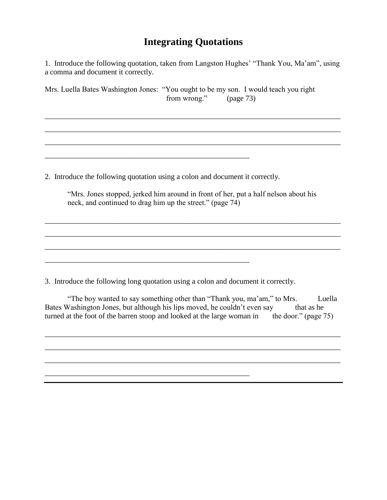1. Introduce the following quotation, taken from Langston Hughes' "Thank You, Ma'am", using a comma and document it correctly.

\_\_\_\_\_\_\_\_\_\_\_\_\_\_\_\_\_\_\_\_\_\_\_\_\_\_\_\_\_\_\_\_\_\_\_\_\_\_\_\_\_\_\_\_\_\_\_\_\_\_\_\_\_\_\_\_\_\_\_\_\_\_\_\_\_\_\_\_\_\_\_\_\_\_\_\_\_\_

\_\_\_\_\_\_\_\_\_\_\_\_\_\_\_\_\_\_\_\_\_\_\_\_\_\_\_\_\_\_\_\_\_\_\_\_\_\_\_\_\_\_\_\_\_\_\_\_\_\_\_\_\_\_\_\_\_\_\_\_\_\_\_\_\_\_\_\_\_\_\_\_\_\_\_\_\_\_

\_\_\_\_\_\_\_\_\_\_\_\_\_\_\_\_\_\_\_\_\_\_\_\_\_\_\_\_\_\_\_\_\_\_\_\_\_\_\_\_\_\_\_\_\_\_\_\_\_\_\_\_\_\_\_\_\_\_\_\_\_\_\_\_\_\_\_\_\_\_\_\_\_\_\_\_\_\_

Mrs. Luella Bates Washington Jones: "You ought to be my son. I would teach you right from wrong." (page 73)

2. Introduce the following quotation using a colon and document it correctly.

\_\_\_\_\_\_\_\_\_\_\_\_\_\_\_\_\_\_\_\_\_\_\_\_\_\_\_\_\_\_\_\_\_\_\_\_\_\_\_\_\_\_\_\_\_\_\_\_\_\_\_\_\_\_

\_\_\_\_\_\_\_\_\_\_\_\_\_\_\_\_\_\_\_\_\_\_\_\_\_\_\_\_\_\_\_\_\_\_\_\_\_\_\_\_\_\_\_\_\_\_\_\_\_\_\_\_\_\_

\_\_\_\_\_\_\_\_\_\_\_\_\_\_\_\_\_\_\_\_\_\_\_\_\_\_\_\_\_\_\_\_\_\_\_\_\_\_\_\_\_\_\_\_\_\_\_\_\_\_\_\_\_\_

| "Mrs. Jones stopped, jerked him around in front of her, put a half nelson about his |  |
|-------------------------------------------------------------------------------------|--|
| neck, and continued to drag him up the street." (page 74)                           |  |

\_\_\_\_\_\_\_\_\_\_\_\_\_\_\_\_\_\_\_\_\_\_\_\_\_\_\_\_\_\_\_\_\_\_\_\_\_\_\_\_\_\_\_\_\_\_\_\_\_\_\_\_\_\_\_\_\_\_\_\_\_\_\_\_\_\_\_\_\_\_\_\_\_\_\_\_\_\_

\_\_\_\_\_\_\_\_\_\_\_\_\_\_\_\_\_\_\_\_\_\_\_\_\_\_\_\_\_\_\_\_\_\_\_\_\_\_\_\_\_\_\_\_\_\_\_\_\_\_\_\_\_\_\_\_\_\_\_\_\_\_\_\_\_\_\_\_\_\_\_\_\_\_\_\_\_\_

\_\_\_\_\_\_\_\_\_\_\_\_\_\_\_\_\_\_\_\_\_\_\_\_\_\_\_\_\_\_\_\_\_\_\_\_\_\_\_\_\_\_\_\_\_\_\_\_\_\_\_\_\_\_\_\_\_\_\_\_\_\_\_\_\_\_\_\_\_\_\_\_\_\_\_\_\_\_

3. Introduce the following long quotation using a colon and document it correctly.

"The boy wanted to say something other than "Thank you, ma'am," to Mrs. Luella Bates Washington Jones, but although his lips moved, he couldn't even say that as he turned at the foot of the barren stoop and looked at the large woman in the door." (page 75)

\_\_\_\_\_\_\_\_\_\_\_\_\_\_\_\_\_\_\_\_\_\_\_\_\_\_\_\_\_\_\_\_\_\_\_\_\_\_\_\_\_\_\_\_\_\_\_\_\_\_\_\_\_\_\_\_\_\_\_\_\_\_\_\_\_\_\_\_\_\_\_\_\_\_\_\_\_\_

\_\_\_\_\_\_\_\_\_\_\_\_\_\_\_\_\_\_\_\_\_\_\_\_\_\_\_\_\_\_\_\_\_\_\_\_\_\_\_\_\_\_\_\_\_\_\_\_\_\_\_\_\_\_\_\_\_\_\_\_\_\_\_\_\_\_\_\_\_\_\_\_\_\_\_\_\_\_